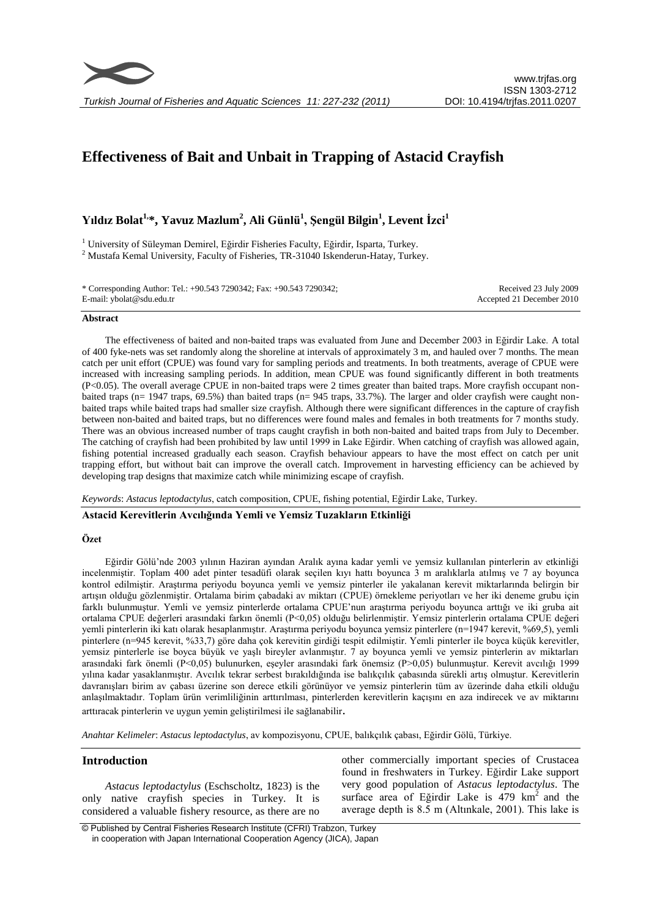

*Turkish Journal of Fisheries and Aquatic Sciences 11: 227-232 (2011)*

# **Effectiveness of Bait and Unbait in Trapping of Astacid Crayfish**

**Yıldız Bolat1, \*, Yavuz Mazlum<sup>2</sup> , Ali Günlü<sup>1</sup> , Şengül Bilgin<sup>1</sup> , Levent İzci<sup>1</sup>**

<sup>1</sup> University of Süleyman Demirel, Eğirdir Fisheries Faculty, Eğirdir, Isparta, Turkey. <sup>2</sup> Mustafa Kemal University, Faculty of Fisheries, TR-31040 Iskenderun-Hatay, Turkey.

\* Corresponding Author: Tel.: +90.543 7290342; Fax: +90.543 7290342; E-mail: ybolat@sdu.edu.tr

Received 23 July 2009 Accepted 21 December 2010

#### **Abstract**

The effectiveness of baited and non-baited traps was evaluated from June and December 2003 in Eğirdir Lake. A total of 400 fyke-nets was set randomly along the shoreline at intervals of approximately 3 m, and hauled over  $\overline{7}$  months. The mean catch per unit effort (CPUE) was found vary for sampling periods and treatments. In both treatments, average of CPUE were increased with increasing sampling periods. In addition, mean CPUE was found significantly different in both treatments (P<0.05). The overall average CPUE in non-baited traps were 2 times greater than baited traps. More crayfish occupant nonbaited traps (n= 1947 traps, 69.5%) than baited traps (n= 945 traps, 33.7%). The larger and older crayfish were caught nonbaited traps while baited traps had smaller size crayfish. Although there were significant differences in the capture of crayfish between non-baited and baited traps, but no differences were found males and females in both treatments for 7 months study. There was an obvious increased number of traps caught crayfish in both non-baited and baited traps from July to December. The catching of crayfish had been prohibited by law until 1999 in Lake Eğirdir. When catching of crayfish was allowed again, fishing potential increased gradually each season. Crayfish behaviour appears to have the most effect on catch per unit trapping effort, but without bait can improve the overall catch. Improvement in harvesting efficiency can be achieved by developing trap designs that maximize catch while minimizing escape of crayfish.

*Keywords*: *Astacus leptodactylus*, catch composition, CPUE, fishing potential, Eğirdir Lake, Turkey.

**Astacid Kerevitlerin Avcılığında Yemli ve Yemsiz Tuzakların Etkinliği**

#### **Özet**

Eğirdir Gölü'nde 2003 yılının Haziran ayından Aralık ayına kadar yemli ve yemsiz kullanılan pinterlerin av etkinliği incelenmiştir. Toplam 400 adet pinter tesadüfi olarak seçilen kıyı hattı boyunca 3 m aralıklarla atılmış ve 7 ay boyunca kontrol edilmiştir. Araştırma periyodu boyunca yemli ve yemsiz pinterler ile yakalanan kerevit miktarlarında belirgin bir artışın olduğu gözlenmiştir. Ortalama birim çabadaki av miktarı (CPUE) örnekleme periyotları ve her iki deneme grubu için farklı bulunmuştur. Yemli ve yemsiz pinterlerde ortalama CPUE'nun araştırma periyodu boyunca arttığı ve iki gruba ait ortalama CPUE değerleri arasındaki farkın önemli (P<0,05) olduğu belirlenmiştir. Yemsiz pinterlerin ortalama CPUE değeri yemli pinterlerin iki katı olarak hesaplanmıştır. Araştırma periyodu boyunca yemsiz pinterlere (n=1947 kerevit, %69,5), yemli pinterlere (n=945 kerevit, %33,7) göre daha çok kerevitin girdiği tespit edilmiştir. Yemli pinterler ile boyca küçük kerevitler, yemsiz pinterlerle ise boyca büyük ve yaşlı bireyler avlanmıştır. 7 ay boyunca yemli ve yemsiz pinterlerin av miktarları arasındaki fark önemli (P<0,05) bulunurken, eşeyler arasındaki fark önemsiz (P>0,05) bulunmuştur. Kerevit avcılığı 1999 yılına kadar yasaklanmıştır. Avcılık tekrar serbest bırakıldığında ise balıkçılık çabasında sürekli artış olmuştur. Kerevitlerin davranışları birim av çabası üzerine son derece etkili görünüyor ve yemsiz pinterlerin tüm av üzerinde daha etkili olduğu anlaşılmaktadır. Toplam ürün verimliliğinin arttırılması, pinterlerden kerevitlerin kaçışını en aza indirecek ve av miktarını arttıracak pinterlerin ve uygun yemin geliştirilmesi ile sağlanabilir.

*Anahtar Kelimeler*: *Astacus leptodactylus*, av kompozisyonu, CPUE, balıkçılık çabası, Eğirdir Gölü, Türkiye.

#### **Introduction**

*Astacus leptodactylus* (Eschscholtz, 1823) is the only native crayfish species in Turkey. It is considered a valuable fishery resource, as there are no

other commercially important species of Crustacea found in freshwaters in Turkey. Eğirdir Lake support very good population of *Astacus leptodactylus*. The surface area of Eğirdir Lake is  $479 \text{ km}^2$  and the average depth is 8.5 m (Altınkale, 2001). This lake is

© Published by Central Fisheries Research Institute (CFRI) Trabzon, Turkey in cooperation with Japan International Cooperation Agency (JICA), Japan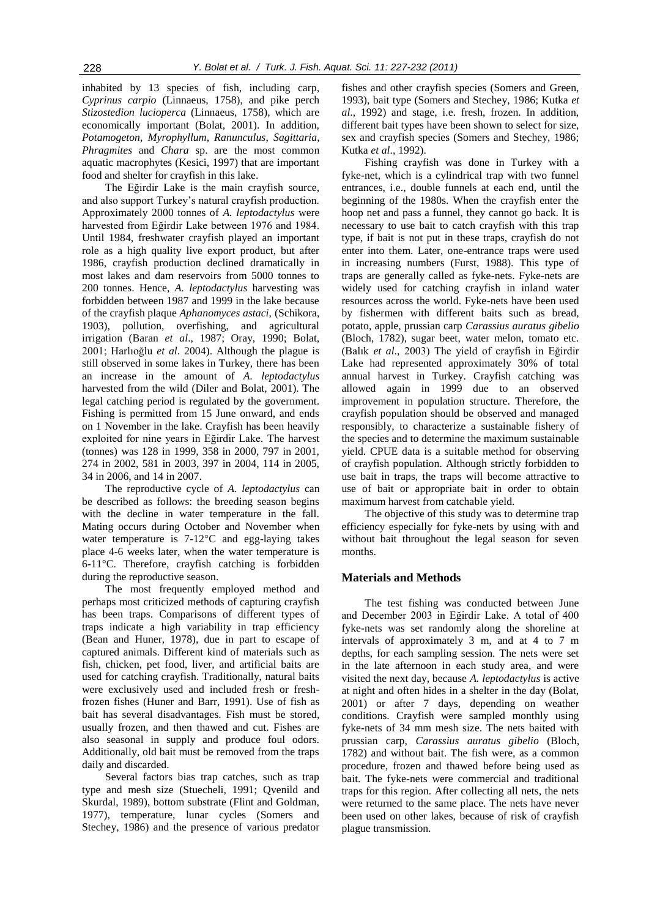inhabited by 13 species of fish, including carp, *Cyprinus carpio* (Linnaeus, 1758), and pike perch *Stizostedion lucioperca* (Linnaeus, 1758), which are economically important (Bolat, 2001). In addition, *Potamogeton*, *Myrophyllum*, *Ranunculus*, *Sagittaria*, *Phragmites* and *Chara* sp. are the most common aquatic macrophytes (Kesici, 1997) that are important food and shelter for crayfish in this lake.

The Eğirdir Lake is the main crayfish source, and also support Turkey's natural crayfish production. Approximately 2000 tonnes of *A. leptodactylus* were harvested from Eğirdir Lake between 1976 and 1984. Until 1984, freshwater crayfish played an important role as a high quality live export product, but after 1986, crayfish production declined dramatically in most lakes and dam reservoirs from 5000 tonnes to 200 tonnes. Hence, *A. leptodactylus* harvesting was forbidden between 1987 and 1999 in the lake because of the crayfish plaque *Aphanomyces astaci,* (Schikora, 1903), pollution, overfishing, and agricultural irrigation (Baran *et al*., 1987; Oray, 1990; Bolat, 2001; Harlıoğlu *et al*. 2004). Although the plague is still observed in some lakes in Turkey, there has been an increase in the amount of *A. leptodactylus* harvested from the wild (Diler and Bolat, 2001). The legal catching period is regulated by the government. Fishing is permitted from 15 June onward, and ends on 1 November in the lake. Crayfish has been heavily exploited for nine years in Eğirdir Lake. The harvest (tonnes) was 128 in 1999, 358 in 2000, 797 in 2001, 274 in 2002, 581 in 2003, 397 in 2004, 114 in 2005, 34 in 2006, and 14 in 2007.

The reproductive cycle of *A. leptodactylus* can be described as follows: the breeding season begins with the decline in water temperature in the fall. Mating occurs during October and November when water temperature is 7-12°C and egg-laying takes place 4-6 weeks later, when the water temperature is 6-11°C. Therefore, crayfish catching is forbidden during the reproductive season.

The most frequently employed method and perhaps most criticized methods of capturing crayfish has been traps. Comparisons of different types of traps indicate a high variability in trap efficiency (Bean and Huner, 1978), due in part to escape of captured animals. Different kind of materials such as fish, chicken, pet food, liver, and artificial baits are used for catching crayfish. Traditionally, natural baits were exclusively used and included fresh or freshfrozen fishes (Huner and Barr, 1991). Use of fish as bait has several disadvantages. Fish must be stored, usually frozen, and then thawed and cut. Fishes are also seasonal in supply and produce foul odors. Additionally, old bait must be removed from the traps daily and discarded.

Several factors bias trap catches, such as trap type and mesh size (Stuecheli, 1991; Qvenild and Skurdal, 1989), bottom substrate (Flint and Goldman, 1977), temperature, lunar cycles (Somers and Stechey, 1986) and the presence of various predator

fishes and other crayfish species (Somers and Green, 1993), bait type (Somers and Stechey, 1986; Kutka *et al*., 1992) and stage, i.e. fresh, frozen. In addition, different bait types have been shown to select for size, sex and crayfish species (Somers and Stechey, 1986; Kutka *et al*., 1992).

Fishing crayfish was done in Turkey with a fyke-net, which is a cylindrical trap with two funnel entrances, i.e., double funnels at each end, until the beginning of the 1980s. When the crayfish enter the hoop net and pass a funnel, they cannot go back. It is necessary to use bait to catch crayfish with this trap type, if bait is not put in these traps, crayfish do not enter into them. Later, one-entrance traps were used in increasing numbers (Furst, 1988). This type of traps are generally called as fyke-nets. Fyke-nets are widely used for catching crayfish in inland water resources across the world. Fyke-nets have been used by fishermen with different baits such as bread, potato, apple, prussian carp *Carassius auratus gibelio*  (Bloch, 1782), sugar beet, water melon, tomato etc. (Balık *et al*., 2003) The yield of crayfish in Eğirdir Lake had represented approximately 30% of total annual harvest in Turkey. Crayfish catching was allowed again in 1999 due to an observed improvement in population structure. Therefore, the crayfish population should be observed and managed responsibly, to characterize a sustainable fishery of the species and to determine the maximum sustainable yield. CPUE data is a suitable method for observing of crayfish population. Although strictly forbidden to use bait in traps, the traps will become attractive to use of bait or appropriate bait in order to obtain maximum harvest from catchable yield.

The objective of this study was to determine trap efficiency especially for fyke-nets by using with and without bait throughout the legal season for seven months.

#### **Materials and Methods**

The test fishing was conducted between June and December 2003 in Eğirdir Lake. A total of 400 fyke-nets was set randomly along the shoreline at intervals of approximately 3 m, and at 4 to 7 m depths, for each sampling session. The nets were set in the late afternoon in each study area, and were visited the next day, because *A. leptodactylus* is active at night and often hides in a shelter in the day (Bolat, 2001) or after 7 days, depending on weather conditions. Crayfish were sampled monthly using fyke-nets of 34 mm mesh size. The nets baited with prussian carp, *Carassius auratus gibelio* (Bloch, 1782) and without bait. The fish were, as a common procedure, frozen and thawed before being used as bait. The fyke-nets were commercial and traditional traps for this region. After collecting all nets, the nets were returned to the same place. The nets have never been used on other lakes, because of risk of crayfish plague transmission.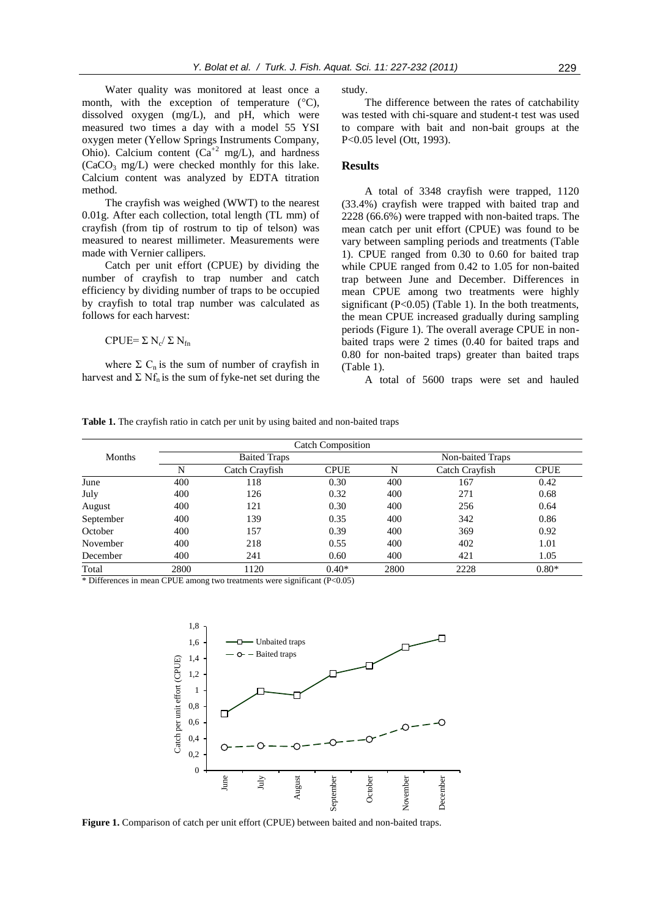Water quality was monitored at least once a month, with the exception of temperature  $({}^{\circ}C)$ , dissolved oxygen (mg/L), and pH, which were measured two times a day with a model 55 YSI oxygen meter (Yellow Springs Instruments Company, Ohio). Calcium content  $(Ca^{+2} mg/L)$ , and hardness  $(CaCO<sub>3</sub> mg/L)$  were checked monthly for this lake. Calcium content was analyzed by EDTA titration method.

The crayfish was weighed (WWT) to the nearest 0.01g. After each collection, total length (TL mm) of crayfish (from tip of rostrum to tip of telson) was measured to nearest millimeter. Measurements were made with Vernier callipers.

Catch per unit effort (CPUE) by dividing the number of crayfish to trap number and catch efficiency by dividing number of traps to be occupied by crayfish to total trap number was calculated as follows for each harvest:

CPUE= Σ  $N_c / \Sigma N_{fn}$ 

where  $\Sigma$  C<sub>n</sub> is the sum of number of crayfish in harvest and  $\Sigma$  Nf<sub>n</sub> is the sum of fyke-net set during the study.

The difference between the rates of catchability was tested with chi-square and student-t test was used to compare with bait and non-bait groups at the P<0.05 level (Ott, 1993).

### **Results**

A total of 3348 crayfish were trapped, 1120 (33.4%) crayfish were trapped with baited trap and 2228 (66.6%) were trapped with non-baited traps. The mean catch per unit effort (CPUE) was found to be vary between sampling periods and treatments (Table 1). CPUE ranged from 0.30 to 0.60 for baited trap while CPUE ranged from 0.42 to 1.05 for non-baited trap between June and December. Differences in mean CPUE among two treatments were highly significant (P<0.05) (Table 1). In the both treatments, the mean CPUE increased gradually during sampling periods (Figure 1). The overall average CPUE in nonbaited traps were 2 times (0.40 for baited traps and 0.80 for non-baited traps) greater than baited traps (Table 1).

A total of 5600 traps were set and hauled

**Table 1.** The crayfish ratio in catch per unit by using baited and non-baited traps

|           |                     |                | <b>Catch Composition</b> |                  |                |             |
|-----------|---------------------|----------------|--------------------------|------------------|----------------|-------------|
| Months    | <b>Baited Traps</b> |                |                          | Non-baited Traps |                |             |
|           | N                   | Catch Crayfish | <b>CPUE</b>              | N                | Catch Crayfish | <b>CPUE</b> |
| June      | 400                 | 118            | 0.30                     | 400              | 167            | 0.42        |
| July      | 400                 | 126            | 0.32                     | 400              | 271            | 0.68        |
| August    | 400                 | 121            | 0.30                     | 400              | 256            | 0.64        |
| September | 400                 | 139            | 0.35                     | 400              | 342            | 0.86        |
| October   | 400                 | 157            | 0.39                     | 400              | 369            | 0.92        |
| November  | 400                 | 218            | 0.55                     | 400              | 402            | 1.01        |
| December  | 400                 | 241            | 0.60                     | 400              | 421            | 1.05        |
| Total     | 2800                | 120            | $0.40*$                  | 2800             | 2228           | $0.80*$     |

\* Differences in mean CPUE among two treatments were significant (P<0.05)



**Figure 1.** Comparison of catch per unit effort (CPUE) between baited and non-baited traps.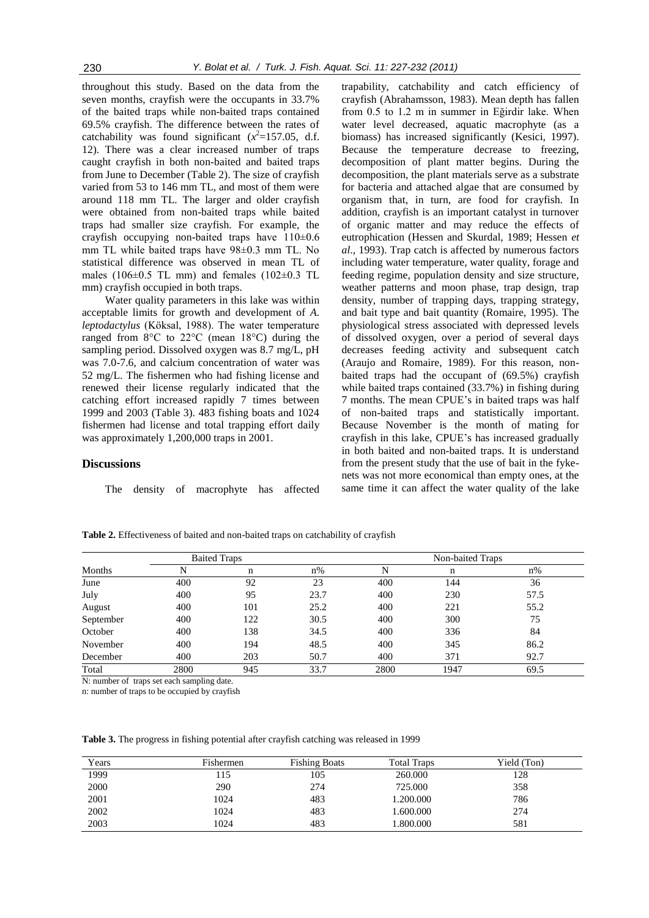throughout this study. Based on the data from the seven months, crayfish were the occupants in 33.7% of the baited traps while non-baited traps contained 69.5% crayfish. The difference between the rates of catchability was found significant  $(x^2=157.05, d.f.$ 12). There was a clear increased number of traps caught crayfish in both non-baited and baited traps from June to December (Table 2). The size of crayfish varied from 53 to 146 mm TL, and most of them were around 118 mm TL. The larger and older crayfish were obtained from non-baited traps while baited traps had smaller size crayfish. For example, the crayfish occupying non-baited traps have  $110\pm0.6$ mm TL while baited traps have 98±0.3 mm TL. No statistical difference was observed in mean TL of males (106 $\pm$ 0.5 TL mm) and females (102 $\pm$ 0.3 TL mm) crayfish occupied in both traps.

Water quality parameters in this lake was within acceptable limits for growth and development of *A. leptodactylus* (Köksal, 1988). The water temperature ranged from 8°C to 22°C (mean 18°C) during the sampling period. Dissolved oxygen was 8.7 mg/L, pH was 7.0-7.6, and calcium concentration of water was 52 mg/L. The fishermen who had fishing license and renewed their license regularly indicated that the catching effort increased rapidly 7 times between 1999 and 2003 (Table 3). 483 fishing boats and 1024 fishermen had license and total trapping effort daily was approximately 1,200,000 traps in 2001.

trapability, catchability and catch efficiency of crayfish (Abrahamsson, 1983). Mean depth has fallen from 0.5 to 1.2 m in summer in Eğirdir lake. When water level decreased, aquatic macrophyte (as a biomass) has increased significantly (Kesici, 1997). Because the temperature decrease to freezing, decomposition of plant matter begins. During the decomposition, the plant materials serve as a substrate for bacteria and attached algae that are consumed by organism that, in turn, are food for crayfish. In addition, crayfish is an important catalyst in turnover of organic matter and may reduce the effects of eutrophication (Hessen and Skurdal, 1989; Hessen *et al*., 1993). Trap catch is affected by numerous factors including water temperature, water quality, forage and feeding regime, population density and size structure, weather patterns and moon phase, trap design, trap density, number of trapping days, trapping strategy, and bait type and bait quantity (Romaire, 1995). The physiological stress associated with depressed levels of dissolved oxygen, over a period of several days decreases feeding activity and subsequent catch (Araujo and Romaire, 1989). For this reason, nonbaited traps had the occupant of (69.5%) crayfish while baited traps contained (33.7%) in fishing during 7 months. The mean CPUE's in baited traps was half of non-baited traps and statistically important. Because November is the month of mating for crayfish in this lake, CPUE's has increased gradually in both baited and non-baited traps. It is understand from the present study that the use of bait in the fykenets was not more economical than empty ones, at the same time it can affect the water quality of the lake

# **Discussions**

The density of macrophyte has affected

**Table 2.** Effectiveness of baited and non-baited traps on catchability of crayfish

|           | <b>Baited Traps</b> |     |       |      | Non-baited Traps |       |
|-----------|---------------------|-----|-------|------|------------------|-------|
| Months    | N                   | n   | $n\%$ | N    | n                | $n\%$ |
| June      | 400                 | 92  | 23    | 400  | 144              | 36    |
| July      | 400                 | 95  | 23.7  | 400  | 230              | 57.5  |
| August    | 400                 | 101 | 25.2  | 400  | 221              | 55.2  |
| September | 400                 | 122 | 30.5  | 400  | 300              | 75    |
| October   | 400                 | 138 | 34.5  | 400  | 336              | 84    |
| November  | 400                 | 194 | 48.5  | 400  | 345              | 86.2  |
| December  | 400                 | 203 | 50.7  | 400  | 371              | 92.7  |
| Total     | 2800                | 945 | 33.7  | 2800 | 1947             | 69.5  |

N: number of traps set each sampling date.

n: number of traps to be occupied by crayfish

**Table 3.** The progress in fishing potential after crayfish catching was released in 1999

| Years | Fishermen | <b>Fishing Boats</b> | <b>Total Traps</b> | Yield (Ton) |
|-------|-----------|----------------------|--------------------|-------------|
| 1999  | 115       | 105                  | 260,000            | 128         |
| 2000  | 290       | 274                  | 725.000            | 358         |
| 2001  | 1024      | 483                  | .200.000           | 786         |
| 2002  | 1024      | 483                  | .600.000           | 274         |
| 2003  | 1024      | 483                  | .800.000           | 581         |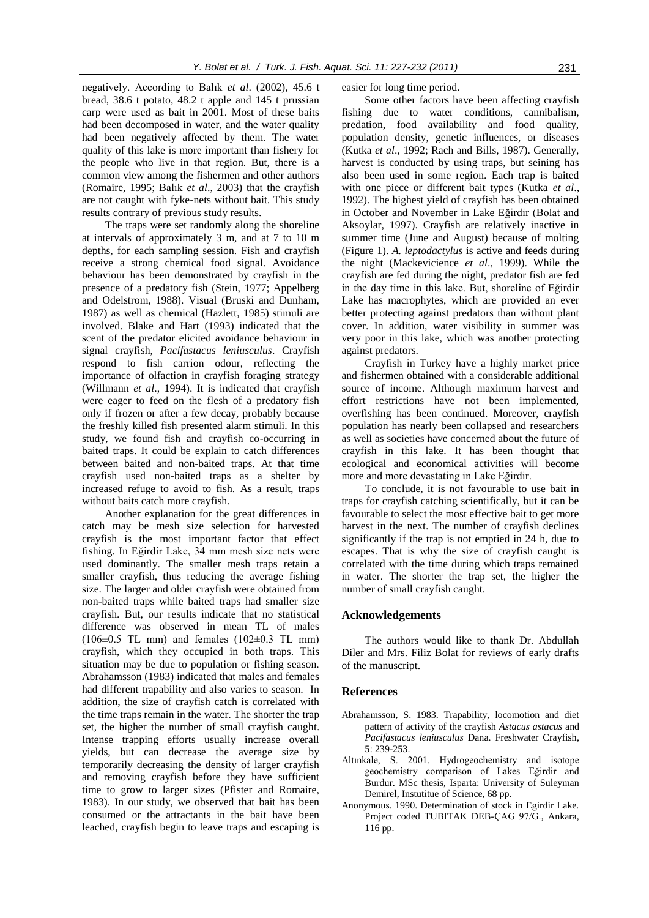negatively. According to Balık *et al*. (2002), 45.6 t bread, 38.6 t potato, 48.2 t apple and 145 t prussian carp were used as bait in 2001. Most of these baits had been decomposed in water, and the water quality had been negatively affected by them. The water quality of this lake is more important than fishery for the people who live in that region. But, there is a common view among the fishermen and other authors (Romaire, 1995; Balık *et al*., 2003) that the crayfish are not caught with fyke-nets without bait. This study results contrary of previous study results.

The traps were set randomly along the shoreline at intervals of approximately 3 m, and at 7 to 10 m depths, for each sampling session. Fish and crayfish receive a strong chemical food signal. Avoidance behaviour has been demonstrated by crayfish in the presence of a predatory fish (Stein, 1977; Appelberg and Odelstrom, 1988). Visual (Bruski and Dunham, 1987) as well as chemical (Hazlett, 1985) stimuli are involved. Blake and Hart (1993) indicated that the scent of the predator elicited avoidance behaviour in signal crayfish, *Pacifastacus leniusculus*. Crayfish respond to fish carrion odour, reflecting the importance of olfaction in crayfish foraging strategy (Willmann *et al*., 1994). It is indicated that crayfish were eager to feed on the flesh of a predatory fish only if frozen or after a few decay, probably because the freshly killed fish presented alarm stimuli. In this study, we found fish and crayfish co-occurring in baited traps. It could be explain to catch differences between baited and non-baited traps. At that time crayfish used non-baited traps as a shelter by increased refuge to avoid to fish. As a result, traps without baits catch more crayfish.

Another explanation for the great differences in catch may be mesh size selection for harvested crayfish is the most important factor that effect fishing. In Eğirdir Lake, 34 mm mesh size nets were used dominantly. The smaller mesh traps retain a smaller crayfish, thus reducing the average fishing size. The larger and older crayfish were obtained from non-baited traps while baited traps had smaller size crayfish. But, our results indicate that no statistical difference was observed in mean TL of males  $(106\pm0.5$  TL mm) and females  $(102\pm0.3$  TL mm) crayfish, which they occupied in both traps. This situation may be due to population or fishing season. Abrahamsson (1983) indicated that males and females had different trapability and also varies to season. In addition, the size of crayfish catch is correlated with the time traps remain in the water. The shorter the trap set, the higher the number of small crayfish caught. Intense trapping efforts usually increase overall yields, but can decrease the average size by temporarily decreasing the density of larger crayfish and removing crayfish before they have sufficient time to grow to larger sizes (Pfister and Romaire, 1983). In our study, we observed that bait has been consumed or the attractants in the bait have been leached, crayfish begin to leave traps and escaping is easier for long time period.

Some other factors have been affecting crayfish fishing due to water conditions, cannibalism, predation, food availability and food quality, population density, genetic influences, or diseases (Kutka *et al*., 1992; Rach and Bills, 1987). Generally, harvest is conducted by using traps, but seining has also been used in some region. Each trap is baited with one piece or different bait types (Kutka *et al*., 1992). The highest yield of crayfish has been obtained in October and November in Lake Eğirdir (Bolat and Aksoylar, 1997). Crayfish are relatively inactive in summer time (June and August) because of molting (Figure 1). *A. leptodactylus* is active and feeds during the night (Mackevicience *et al*., 1999). While the crayfish are fed during the night, predator fish are fed in the day time in this lake. But, shoreline of Eğirdir Lake has macrophytes, which are provided an ever better protecting against predators than without plant cover. In addition, water visibility in summer was very poor in this lake, which was another protecting against predators.

Crayfish in Turkey have a highly market price and fishermen obtained with a considerable additional source of income. Although maximum harvest and effort restrictions have not been implemented, overfishing has been continued. Moreover, crayfish population has nearly been collapsed and researchers as well as societies have concerned about the future of crayfish in this lake. It has been thought that ecological and economical activities will become more and more devastating in Lake Eğirdir.

To conclude, it is not favourable to use bait in traps for crayfish catching scientifically, but it can be favourable to select the most effective bait to get more harvest in the next. The number of crayfish declines significantly if the trap is not emptied in 24 h, due to escapes. That is why the size of crayfish caught is correlated with the time during which traps remained in water. The shorter the trap set, the higher the number of small crayfish caught.

## **Acknowledgements**

The authors would like to thank Dr. Abdullah Diler and Mrs. Filiz Bolat for reviews of early drafts of the manuscript.

#### **References**

- Abrahamsson, S. 1983. Trapability, locomotion and diet pattern of activity of the crayfish *Astacus astacus* and *Pacifastacus leniusculus* Dana. Freshwater Crayfish, 5: 239-253.
- Altınkale, S. 2001. Hydrogeochemistry and isotope geochemistry comparison of Lakes Eğirdir and Burdur. MSc thesis, Isparta: University of Suleyman Demirel, Instutitue of Science, 68 pp.
- Anonymous. 1990. Determination of stock in Egirdir Lake. Project coded TUBITAK DEB-ÇAG 97/G., Ankara, 116 pp.